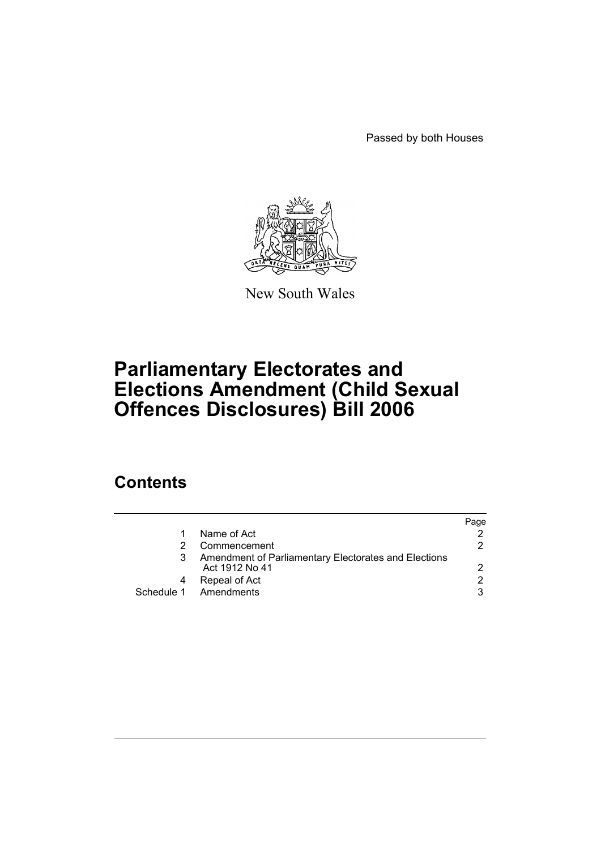Passed by both Houses



New South Wales

# **Parliamentary Electorates and Elections Amendment (Child Sexual Offences Disclosures) Bill 2006**

# **Contents**

|   |                                                                        | Paqe |
|---|------------------------------------------------------------------------|------|
| 1 | Name of Act                                                            |      |
|   | Commencement                                                           | 2    |
|   | Amendment of Parliamentary Electorates and Elections<br>Act 1912 No 41 | 2    |
|   | Repeal of Act                                                          | 2    |
|   | Schedule 1 Amendments                                                  | 3    |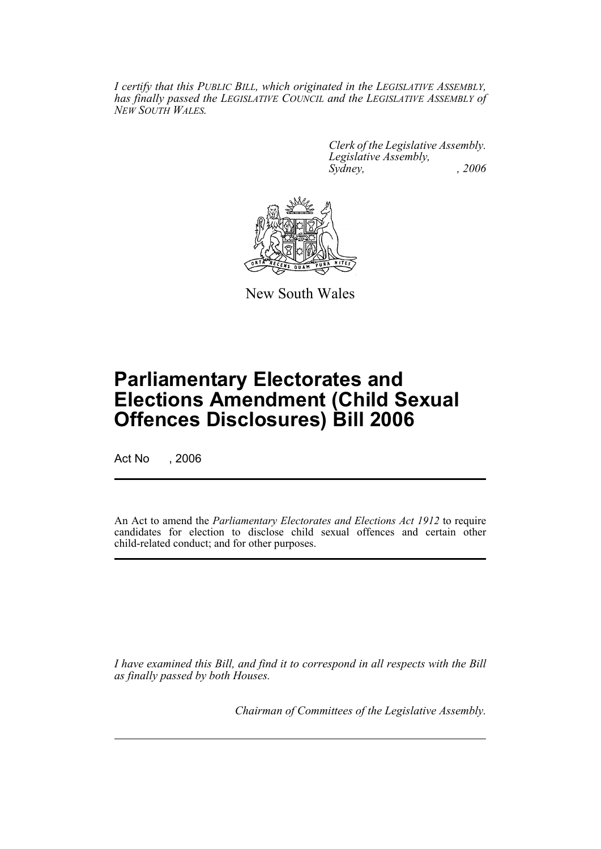*I certify that this PUBLIC BILL, which originated in the LEGISLATIVE ASSEMBLY, has finally passed the LEGISLATIVE COUNCIL and the LEGISLATIVE ASSEMBLY of NEW SOUTH WALES.*

> *Clerk of the Legislative Assembly. Legislative Assembly, Sydney, , 2006*



New South Wales

# **Parliamentary Electorates and Elections Amendment (Child Sexual Offences Disclosures) Bill 2006**

Act No , 2006

An Act to amend the *Parliamentary Electorates and Elections Act 1912* to require candidates for election to disclose child sexual offences and certain other child-related conduct; and for other purposes.

*I have examined this Bill, and find it to correspond in all respects with the Bill as finally passed by both Houses.*

*Chairman of Committees of the Legislative Assembly.*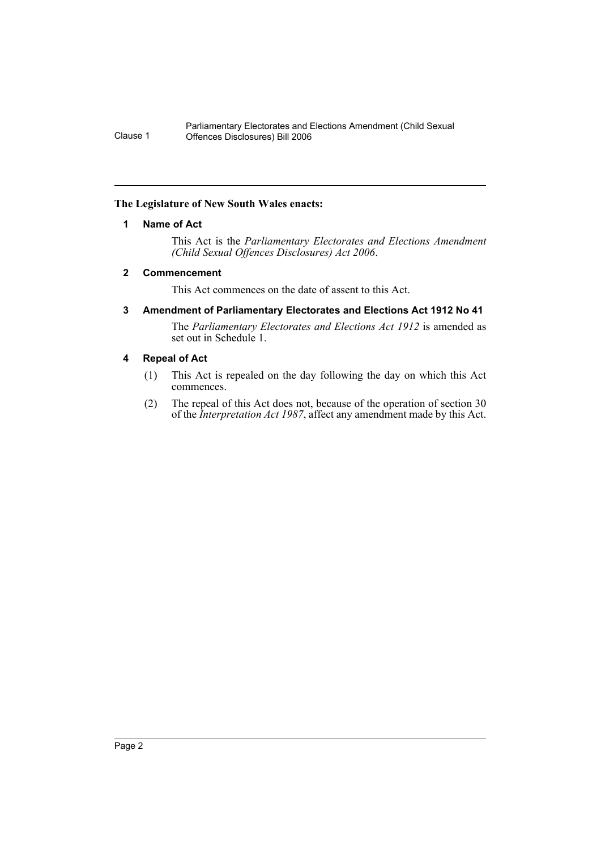#### **The Legislature of New South Wales enacts:**

## **1 Name of Act**

This Act is the *Parliamentary Electorates and Elections Amendment (Child Sexual Offences Disclosures) Act 2006*.

## **2 Commencement**

This Act commences on the date of assent to this Act.

## **3 Amendment of Parliamentary Electorates and Elections Act 1912 No 41**

The *Parliamentary Electorates and Elections Act 1912* is amended as set out in Schedule 1.

## **4 Repeal of Act**

- (1) This Act is repealed on the day following the day on which this Act commences.
- (2) The repeal of this Act does not, because of the operation of section 30 of the *Interpretation Act 1987*, affect any amendment made by this Act.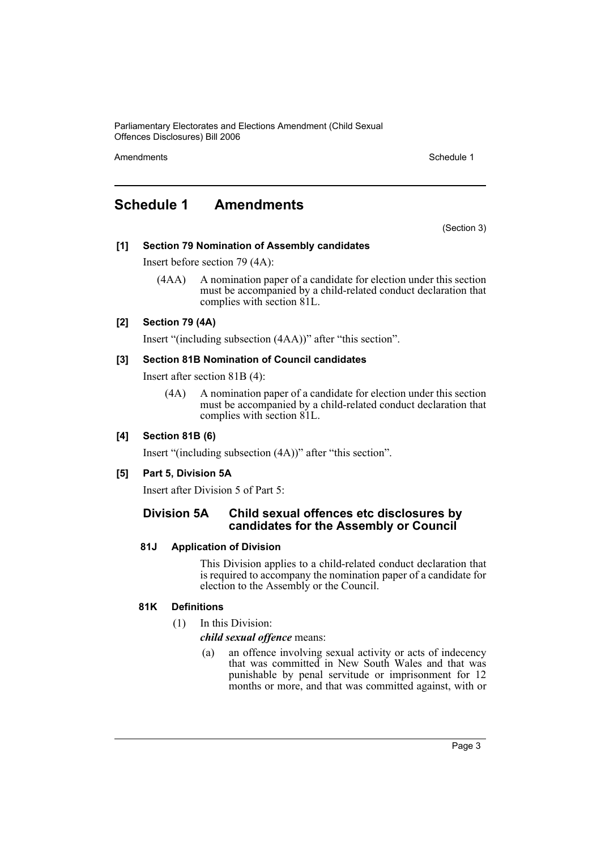Amendments **Schedule 1** Schedule 1

# **Schedule 1 Amendments**

(Section 3)

#### **[1] Section 79 Nomination of Assembly candidates**

Insert before section 79 (4A):

(4AA) A nomination paper of a candidate for election under this section must be accompanied by a child-related conduct declaration that complies with section 81L.

#### **[2] Section 79 (4A)**

Insert "(including subsection (4AA))" after "this section".

#### **[3] Section 81B Nomination of Council candidates**

Insert after section 81B (4):

(4A) A nomination paper of a candidate for election under this section must be accompanied by a child-related conduct declaration that complies with section 81L.

#### **[4] Section 81B (6)**

Insert "(including subsection (4A))" after "this section".

#### **[5] Part 5, Division 5A**

Insert after Division 5 of Part 5:

## **Division 5A Child sexual offences etc disclosures by candidates for the Assembly or Council**

#### **81J Application of Division**

This Division applies to a child-related conduct declaration that is required to accompany the nomination paper of a candidate for election to the Assembly or the Council.

#### **81K Definitions**

(1) In this Division:

#### *child sexual offence* means:

(a) an offence involving sexual activity or acts of indecency that was committed in New South Wales and that was punishable by penal servitude or imprisonment for 12 months or more, and that was committed against, with or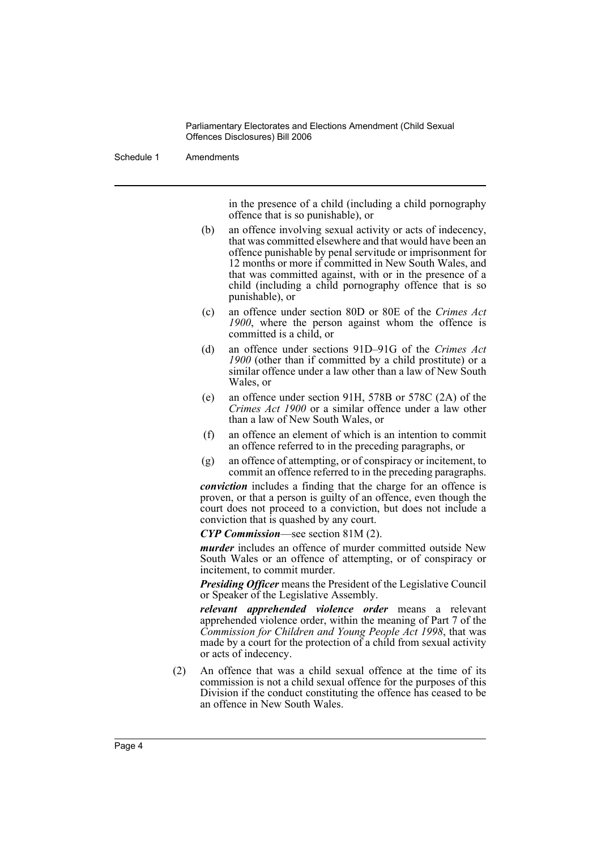Schedule 1 Amendments

in the presence of a child (including a child pornography offence that is so punishable), or

- (b) an offence involving sexual activity or acts of indecency, that was committed elsewhere and that would have been an offence punishable by penal servitude or imprisonment for 12 months or more if committed in New South Wales, and that was committed against, with or in the presence of a child (including a child pornography offence that is so punishable), or
- (c) an offence under section 80D or 80E of the *Crimes Act 1900*, where the person against whom the offence is committed is a child, or
- (d) an offence under sections 91D–91G of the *Crimes Act 1900* (other than if committed by a child prostitute) or a similar offence under a law other than a law of New South Wales, or
- (e) an offence under section 91H, 578B or 578C (2A) of the *Crimes Act 1900* or a similar offence under a law other than a law of New South Wales, or
- (f) an offence an element of which is an intention to commit an offence referred to in the preceding paragraphs, or
- (g) an offence of attempting, or of conspiracy or incitement, to commit an offence referred to in the preceding paragraphs.

*conviction* includes a finding that the charge for an offence is proven, or that a person is guilty of an offence, even though the court does not proceed to a conviction, but does not include a conviction that is quashed by any court.

*CYP Commission*—see section 81M (2).

*murder* includes an offence of murder committed outside New South Wales or an offence of attempting, or of conspiracy or incitement, to commit murder.

*Presiding Officer* means the President of the Legislative Council or Speaker of the Legislative Assembly.

*relevant apprehended violence order* means a relevant apprehended violence order, within the meaning of Part 7 of the *Commission for Children and Young People Act 1998*, that was made by a court for the protection of a child from sexual activity or acts of indecency.

(2) An offence that was a child sexual offence at the time of its commission is not a child sexual offence for the purposes of this Division if the conduct constituting the offence has ceased to be an offence in New South Wales.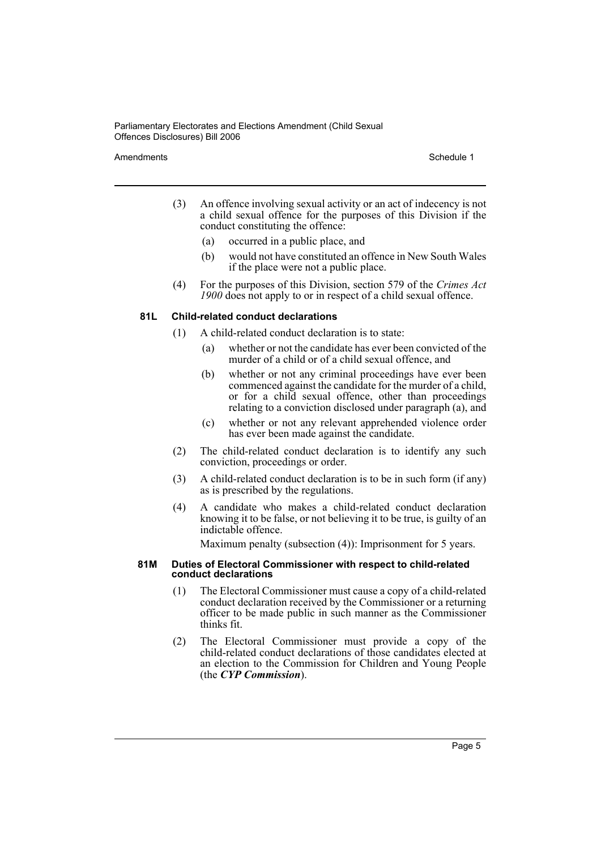#### Amendments **Amendments** Schedule 1

- (3) An offence involving sexual activity or an act of indecency is not a child sexual offence for the purposes of this Division if the conduct constituting the offence:
	- (a) occurred in a public place, and
	- (b) would not have constituted an offence in New South Wales if the place were not a public place.
- (4) For the purposes of this Division, section 579 of the *Crimes Act 1900* does not apply to or in respect of a child sexual offence.

#### **81L Child-related conduct declarations**

- (1) A child-related conduct declaration is to state:
	- (a) whether or not the candidate has ever been convicted of the murder of a child or of a child sexual offence, and
	- (b) whether or not any criminal proceedings have ever been commenced against the candidate for the murder of a child, or for a child sexual offence, other than proceedings relating to a conviction disclosed under paragraph (a), and
	- (c) whether or not any relevant apprehended violence order has ever been made against the candidate.
- (2) The child-related conduct declaration is to identify any such conviction, proceedings or order.
- (3) A child-related conduct declaration is to be in such form (if any) as is prescribed by the regulations.
- (4) A candidate who makes a child-related conduct declaration knowing it to be false, or not believing it to be true, is guilty of an indictable offence.

Maximum penalty (subsection (4)): Imprisonment for 5 years.

#### **81M Duties of Electoral Commissioner with respect to child-related conduct declarations**

- (1) The Electoral Commissioner must cause a copy of a child-related conduct declaration received by the Commissioner or a returning officer to be made public in such manner as the Commissioner thinks fit.
- (2) The Electoral Commissioner must provide a copy of the child-related conduct declarations of those candidates elected at an election to the Commission for Children and Young People (the *CYP Commission*).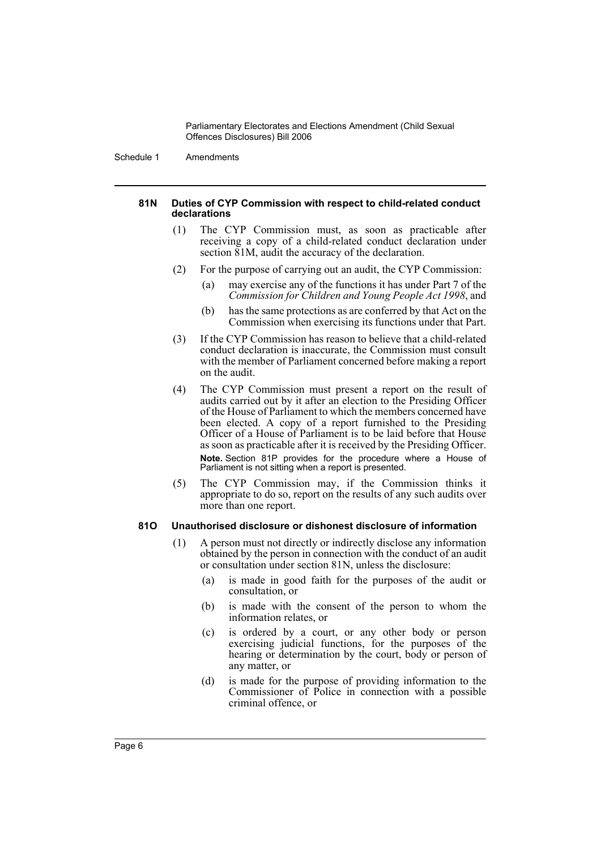Schedule 1 Amendments

#### **81N Duties of CYP Commission with respect to child-related conduct declarations**

- (1) The CYP Commission must, as soon as practicable after receiving a copy of a child-related conduct declaration under section  $\overline{81M}$ , audit the accuracy of the declaration.
- (2) For the purpose of carrying out an audit, the CYP Commission:
	- (a) may exercise any of the functions it has under Part 7 of the *Commission for Children and Young People Act 1998*, and
	- (b) has the same protections as are conferred by that Act on the Commission when exercising its functions under that Part.
- (3) If the CYP Commission has reason to believe that a child-related conduct declaration is inaccurate, the Commission must consult with the member of Parliament concerned before making a report on the audit.
- (4) The CYP Commission must present a report on the result of audits carried out by it after an election to the Presiding Officer of the House of Parliament to which the members concerned have been elected. A copy of a report furnished to the Presiding Officer of a House of Parliament is to be laid before that House as soon as practicable after it is received by the Presiding Officer. **Note.** Section 81P provides for the procedure where a House of Parliament is not sitting when a report is presented.
- (5) The CYP Commission may, if the Commission thinks it appropriate to do so, report on the results of any such audits over more than one report.

#### **81O Unauthorised disclosure or dishonest disclosure of information**

- (1) A person must not directly or indirectly disclose any information obtained by the person in connection with the conduct of an audit or consultation under section 81N, unless the disclosure:
	- (a) is made in good faith for the purposes of the audit or consultation, or
	- (b) is made with the consent of the person to whom the information relates, or
	- (c) is ordered by a court, or any other body or person exercising judicial functions, for the purposes of the hearing or determination by the court, body or person of any matter, or
	- (d) is made for the purpose of providing information to the Commissioner of Police in connection with a possible criminal offence, or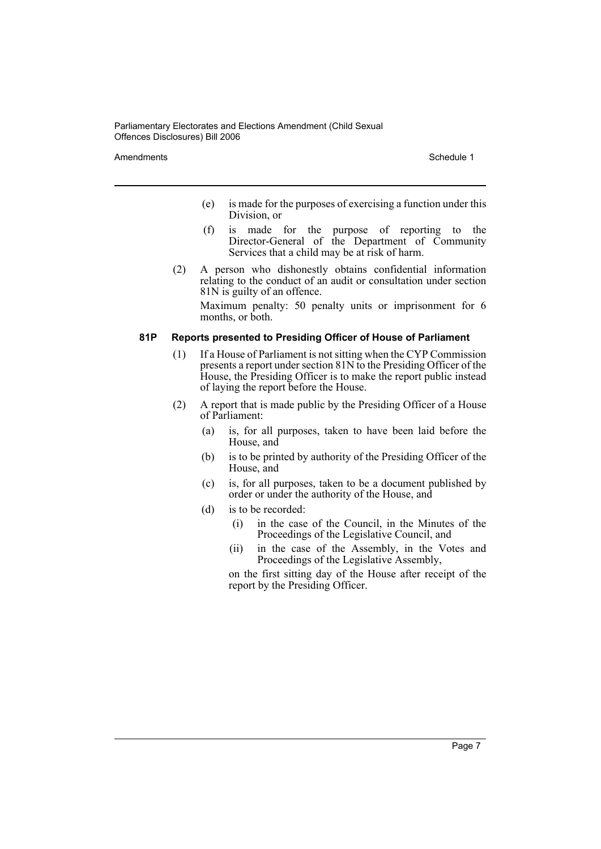Amendments **Schedule 1** and the set of the set of the set of the set of the set of the set of the set of the set of the set of the set of the set of the set of the set of the set of the set of the set of the set of the set

- (e) is made for the purposes of exercising a function under this Division, or
- (f) is made for the purpose of reporting to the Director-General of the Department of Community Services that a child may be at risk of harm.
- (2) A person who dishonestly obtains confidential information relating to the conduct of an audit or consultation under section 81N is guilty of an offence. Maximum penalty: 50 penalty units or imprisonment for 6 months, or both.

#### **81P Reports presented to Presiding Officer of House of Parliament**

- (1) If a House of Parliament is not sitting when the CYP Commission presents a report under section 81N to the Presiding Officer of the House, the Presiding Officer is to make the report public instead of laying the report before the House.
- (2) A report that is made public by the Presiding Officer of a House of Parliament:
	- (a) is, for all purposes, taken to have been laid before the House, and
	- (b) is to be printed by authority of the Presiding Officer of the House, and
	- (c) is, for all purposes, taken to be a document published by order or under the authority of the House, and
	- (d) is to be recorded:
		- (i) in the case of the Council, in the Minutes of the Proceedings of the Legislative Council, and
		- (ii) in the case of the Assembly, in the Votes and Proceedings of the Legislative Assembly,

on the first sitting day of the House after receipt of the report by the Presiding Officer.